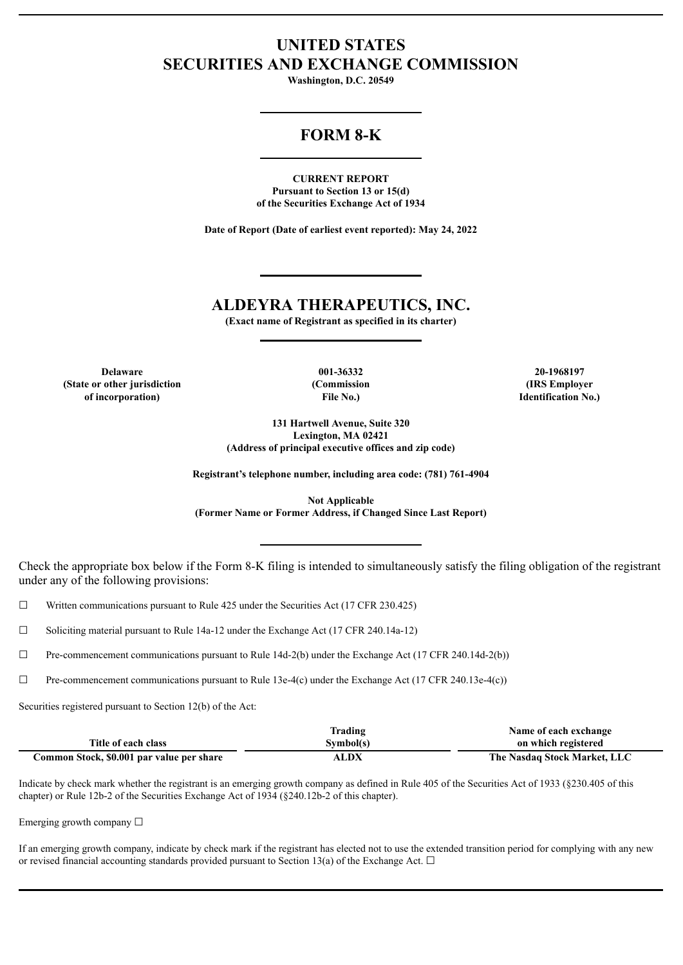# **UNITED STATES SECURITIES AND EXCHANGE COMMISSION**

**Washington, D.C. 20549**

# **FORM 8-K**

**CURRENT REPORT Pursuant to Section 13 or 15(d) of the Securities Exchange Act of 1934**

**Date of Report (Date of earliest event reported): May 24, 2022**

# **ALDEYRA THERAPEUTICS, INC.**

**(Exact name of Registrant as specified in its charter)**

**Delaware 001-36332 20-1968197 (State or other jurisdiction of incorporation)**

**(Commission File No.)**

**(IRS Employer Identification No.)**

**131 Hartwell Avenue, Suite 320 Lexington, MA 02421 (Address of principal executive offices and zip code)**

**Registrant's telephone number, including area code: (781) 761-4904**

**Not Applicable (Former Name or Former Address, if Changed Since Last Report)**

Check the appropriate box below if the Form 8-K filing is intended to simultaneously satisfy the filing obligation of the registrant under any of the following provisions:

 $\Box$  Written communications pursuant to Rule 425 under the Securities Act (17 CFR 230.425)

☐ Soliciting material pursuant to Rule 14a-12 under the Exchange Act (17 CFR 240.14a-12)

☐ Pre-commencement communications pursuant to Rule 14d-2(b) under the Exchange Act (17 CFR 240.14d-2(b))

 $\Box$  Pre-commencement communications pursuant to Rule 13e-4(c) under the Exchange Act (17 CFR 240.13e-4(c))

Securities registered pursuant to Section 12(b) of the Act:

|                                           | Trading   | Name of each exchange        |
|-------------------------------------------|-----------|------------------------------|
| Title of each class                       | Symbol(s) | on which registered          |
| Common Stock, \$0.001 par value per share | ALDX      | The Nasdaq Stock Market, LLC |

Indicate by check mark whether the registrant is an emerging growth company as defined in Rule 405 of the Securities Act of 1933 (§230.405 of this chapter) or Rule 12b-2 of the Securities Exchange Act of 1934 (§240.12b-2 of this chapter).

Emerging growth company  $\Box$ 

If an emerging growth company, indicate by check mark if the registrant has elected not to use the extended transition period for complying with any new or revised financial accounting standards provided pursuant to Section 13(a) of the Exchange Act.  $\Box$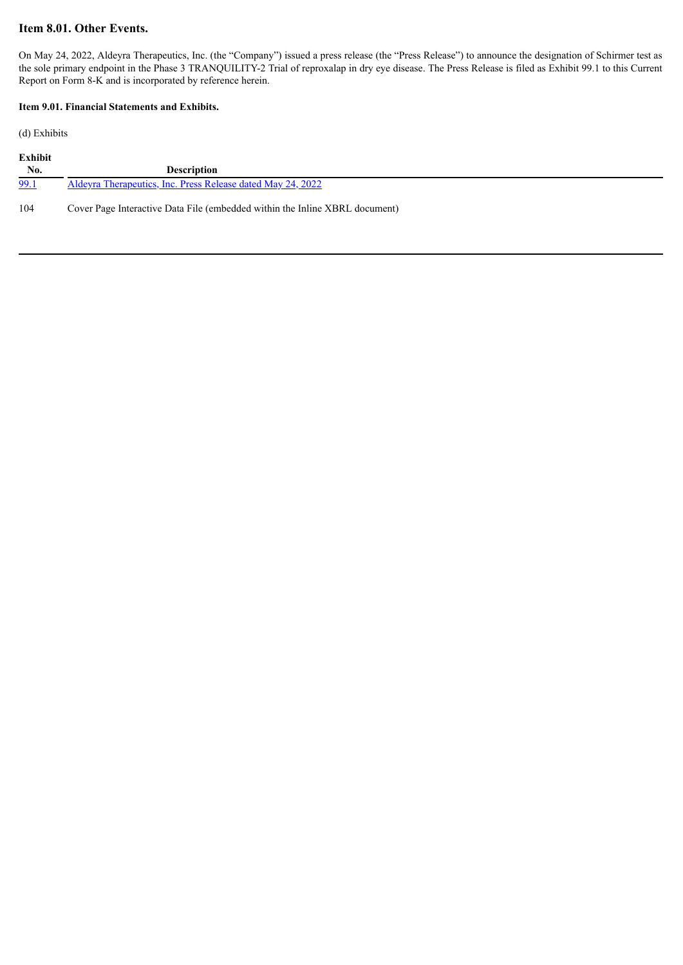### **Item 8.01. Other Events.**

On May 24, 2022, Aldeyra Therapeutics, Inc. (the "Company") issued a press release (the "Press Release") to announce the designation of Schirmer test as the sole primary endpoint in the Phase 3 TRANQUILITY-2 Trial of reproxalap in dry eye disease. The Press Release is filed as Exhibit 99.1 to this Current Report on Form 8-K and is incorporated by reference herein.

#### **Item 9.01. Financial Statements and Exhibits.**

(d) Exhibits

| <b>Exhibit</b> |                                                             |  |
|----------------|-------------------------------------------------------------|--|
| No.            | <b>Description</b>                                          |  |
| 99.1           | Aldeyra Therapeutics, Inc. Press Release dated May 24, 2022 |  |
|                |                                                             |  |

104 Cover Page Interactive Data File (embedded within the Inline XBRL document)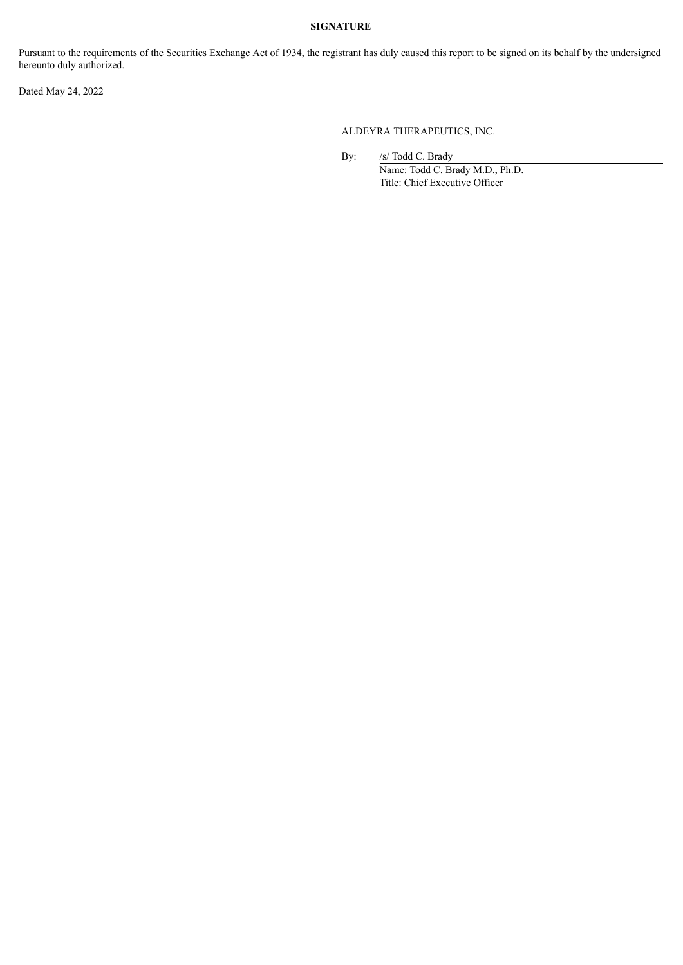#### **SIGNATURE**

Pursuant to the requirements of the Securities Exchange Act of 1934, the registrant has duly caused this report to be signed on its behalf by the undersigned hereunto duly authorized.

Dated May 24, 2022

ALDEYRA THERAPEUTICS, INC.

By: /s/ Todd C. Brady

Name: Todd C. Brady M.D., Ph.D. Title: Chief Executive Officer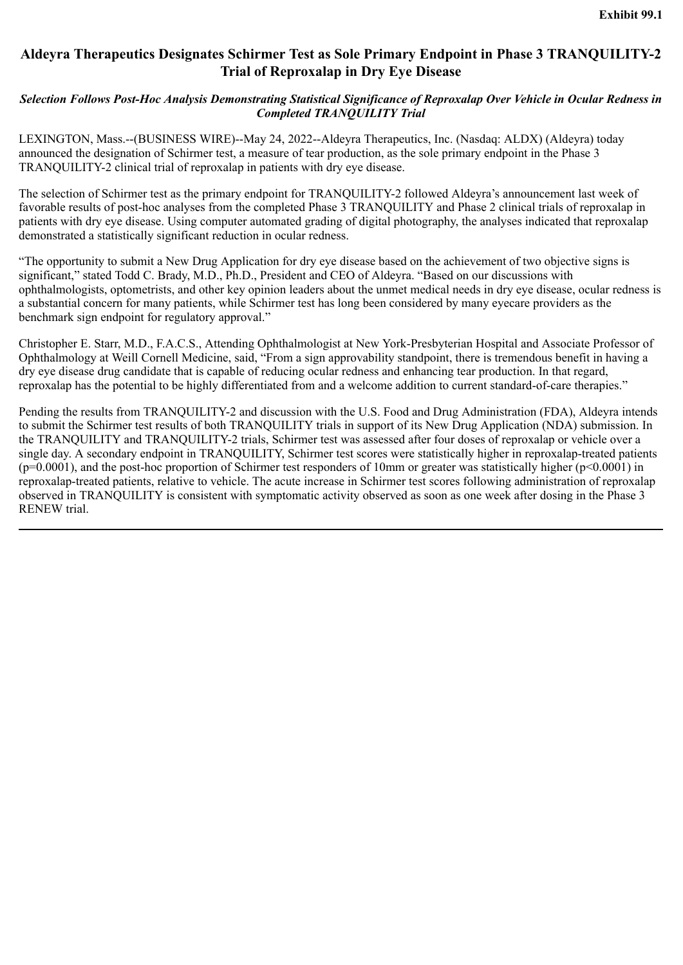# <span id="page-3-0"></span>**Aldeyra Therapeutics Designates Schirmer Test as Sole Primary Endpoint in Phase 3 TRANQUILITY-2 Trial of Reproxalap in Dry Eye Disease**

# *Selection Follows Post-Hoc Analysis Demonstrating Statistical Significance of Reproxalap Over Vehicle in Ocular Redness in Completed TRANQUILITY Trial*

LEXINGTON, Mass.--(BUSINESS WIRE)--May 24, 2022--Aldeyra Therapeutics, Inc. (Nasdaq: ALDX) (Aldeyra) today announced the designation of Schirmer test, a measure of tear production, as the sole primary endpoint in the Phase 3 TRANQUILITY-2 clinical trial of reproxalap in patients with dry eye disease.

The selection of Schirmer test as the primary endpoint for TRANQUILITY-2 followed Aldeyra's announcement last week of favorable results of post-hoc analyses from the completed Phase 3 TRANQUILITY and Phase 2 clinical trials of reproxalap in patients with dry eye disease. Using computer automated grading of digital photography, the analyses indicated that reproxalap demonstrated a statistically significant reduction in ocular redness.

"The opportunity to submit a New Drug Application for dry eye disease based on the achievement of two objective signs is significant," stated Todd C. Brady, M.D., Ph.D., President and CEO of Aldeyra. "Based on our discussions with ophthalmologists, optometrists, and other key opinion leaders about the unmet medical needs in dry eye disease, ocular redness is a substantial concern for many patients, while Schirmer test has long been considered by many eyecare providers as the benchmark sign endpoint for regulatory approval."

Christopher E. Starr, M.D., F.A.C.S., Attending Ophthalmologist at New York-Presbyterian Hospital and Associate Professor of Ophthalmology at Weill Cornell Medicine, said, "From a sign approvability standpoint, there is tremendous benefit in having a dry eye disease drug candidate that is capable of reducing ocular redness and enhancing tear production. In that regard, reproxalap has the potential to be highly differentiated from and a welcome addition to current standard-of-care therapies."

Pending the results from TRANQUILITY-2 and discussion with the U.S. Food and Drug Administration (FDA), Aldeyra intends to submit the Schirmer test results of both TRANQUILITY trials in support of its New Drug Application (NDA) submission. In the TRANQUILITY and TRANQUILITY-2 trials, Schirmer test was assessed after four doses of reproxalap or vehicle over a single day. A secondary endpoint in TRANQUILITY, Schirmer test scores were statistically higher in reproxalap-treated patients  $(p=0.0001)$ , and the post-hoc proportion of Schirmer test responders of 10mm or greater was statistically higher ( $p<0.0001$ ) in reproxalap-treated patients, relative to vehicle. The acute increase in Schirmer test scores following administration of reproxalap observed in TRANQUILITY is consistent with symptomatic activity observed as soon as one week after dosing in the Phase 3 RENEW trial.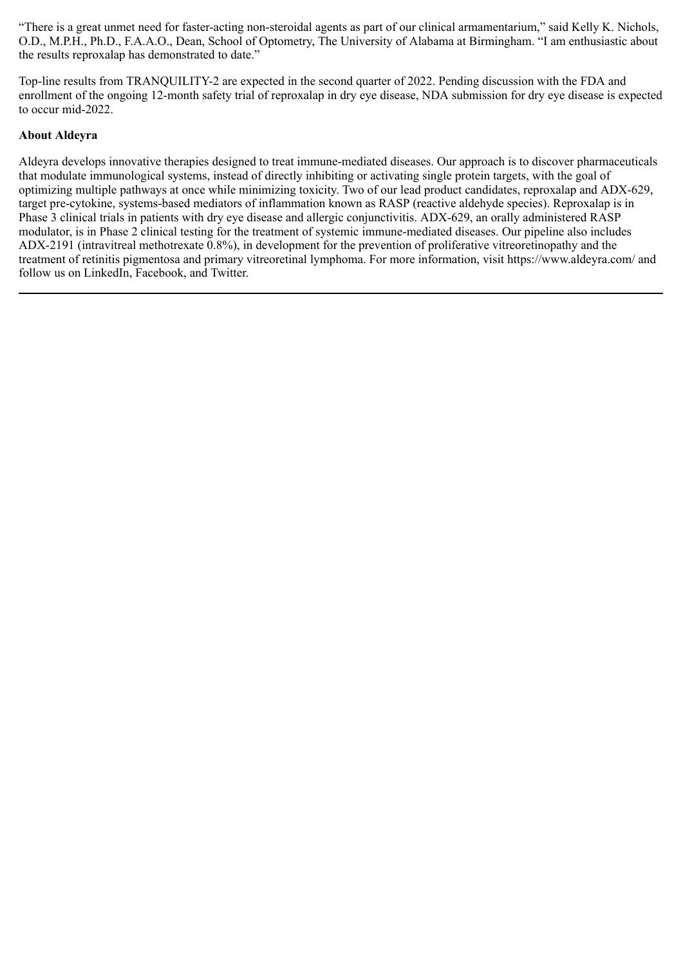"There is a great unmet need for faster-acting non-steroidal agents as part of our clinical armamentarium," said Kelly K. Nichols, O.D., M.P.H., Ph.D., F.A.A.O., Dean, School of Optometry, The University of Alabama at Birmingham. "I am enthusiastic about the results reproxalap has demonstrated to date."

Top-line results from TRANQUILITY-2 are expected in the second quarter of 2022. Pending discussion with the FDA and enrollment of the ongoing 12-month safety trial of reproxalap in dry eye disease, NDA submission for dry eye disease is expected to occur mid-2022.

# **About Aldeyra**

Aldeyra develops innovative therapies designed to treat immune-mediated diseases. Our approach is to discover pharmaceuticals that modulate immunological systems, instead of directly inhibiting or activating single protein targets, with the goal of optimizing multiple pathways at once while minimizing toxicity. Two of our lead product candidates, reproxalap and ADX-629, target pre-cytokine, systems-based mediators of inflammation known as RASP (reactive aldehyde species). Reproxalap is in Phase 3 clinical trials in patients with dry eye disease and allergic conjunctivitis. ADX-629, an orally administered RASP modulator, is in Phase 2 clinical testing for the treatment of systemic immune-mediated diseases. Our pipeline also includes ADX-2191 (intravitreal methotrexate 0.8%), in development for the prevention of proliferative vitreoretinopathy and the treatment of retinitis pigmentosa and primary vitreoretinal lymphoma. For more information, visit https://www.aldeyra.com/ and follow us on LinkedIn, Facebook, and Twitter.